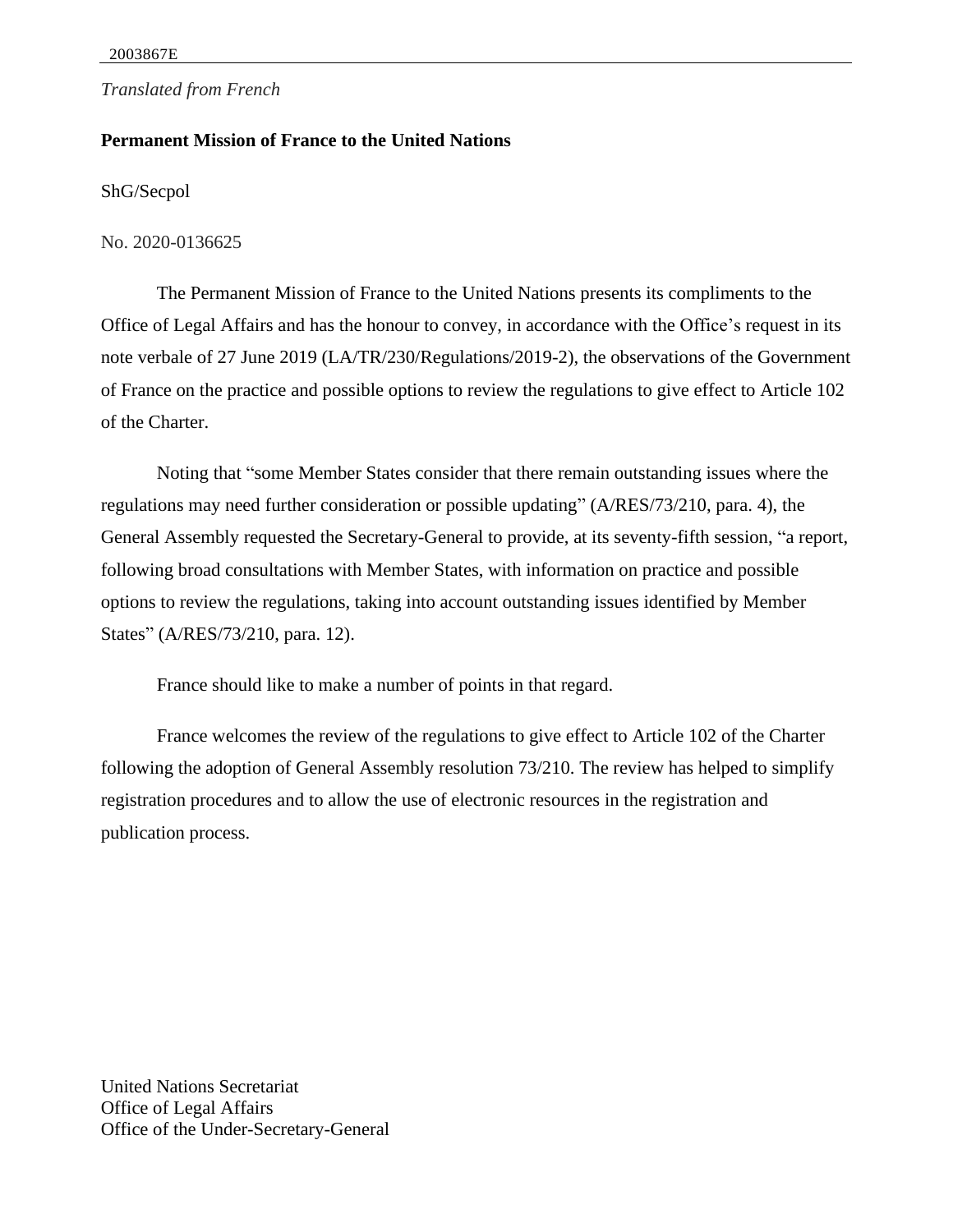## *Translated from French*

## **Permanent Mission of France to the United Nations**

ShG/Secpol

No. 2020-0136625

The Permanent Mission of France to the United Nations presents its compliments to the Office of Legal Affairs and has the honour to convey, in accordance with the Office's request in its note verbale of 27 June 2019 (LA/TR/230/Regulations/2019-2), the observations of the Government of France on the practice and possible options to review the regulations to give effect to Article 102 of the Charter.

Noting that "some Member States consider that there remain outstanding issues where the regulations may need further consideration or possible updating" (A/RES/73/210, para. 4), the General Assembly requested the Secretary-General to provide, at its seventy-fifth session, "a report, following broad consultations with Member States, with information on practice and possible options to review the regulations, taking into account outstanding issues identified by Member States" (A/RES/73/210, para. 12).

France should like to make a number of points in that regard.

France welcomes the review of the regulations to give effect to Article 102 of the Charter following the adoption of General Assembly resolution 73/210. The review has helped to simplify registration procedures and to allow the use of electronic resources in the registration and publication process.

United Nations Secretariat Office of Legal Affairs Office of the Under-Secretary-General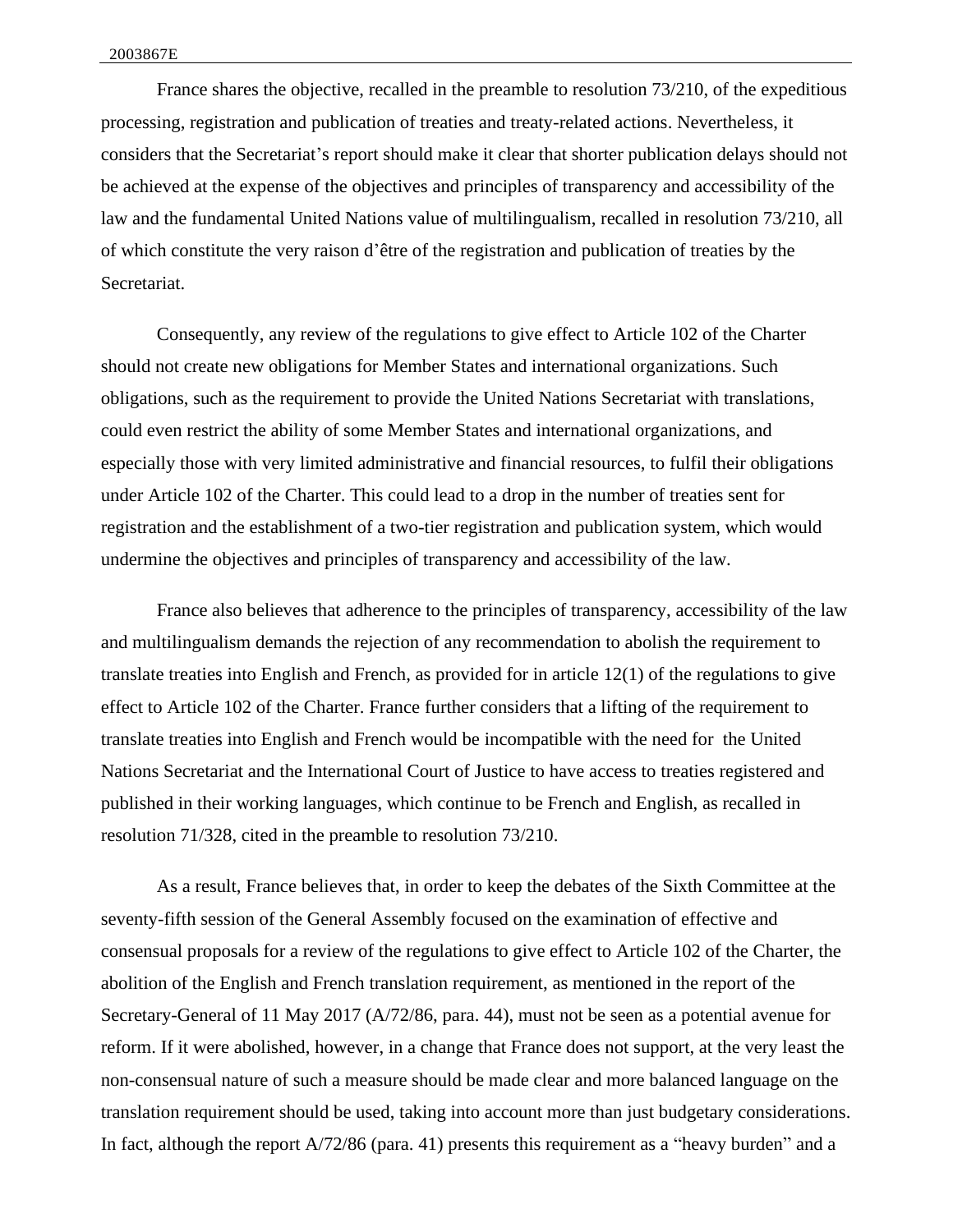France shares the objective, recalled in the preamble to resolution 73/210, of the expeditious processing, registration and publication of treaties and treaty-related actions. Nevertheless, it considers that the Secretariat's report should make it clear that shorter publication delays should not be achieved at the expense of the objectives and principles of transparency and accessibility of the law and the fundamental United Nations value of multilingualism, recalled in resolution 73/210, all of which constitute the very raison d'être of the registration and publication of treaties by the Secretariat.

Consequently, any review of the regulations to give effect to Article 102 of the Charter should not create new obligations for Member States and international organizations. Such obligations, such as the requirement to provide the United Nations Secretariat with translations, could even restrict the ability of some Member States and international organizations, and especially those with very limited administrative and financial resources, to fulfil their obligations under Article 102 of the Charter. This could lead to a drop in the number of treaties sent for registration and the establishment of a two-tier registration and publication system, which would undermine the objectives and principles of transparency and accessibility of the law.

France also believes that adherence to the principles of transparency, accessibility of the law and multilingualism demands the rejection of any recommendation to abolish the requirement to translate treaties into English and French, as provided for in article 12(1) of the regulations to give effect to Article 102 of the Charter. France further considers that a lifting of the requirement to translate treaties into English and French would be incompatible with the need for the United Nations Secretariat and the International Court of Justice to have access to treaties registered and published in their working languages, which continue to be French and English, as recalled in resolution 71/328, cited in the preamble to resolution 73/210.

As a result, France believes that, in order to keep the debates of the Sixth Committee at the seventy-fifth session of the General Assembly focused on the examination of effective and consensual proposals for a review of the regulations to give effect to Article 102 of the Charter, the abolition of the English and French translation requirement, as mentioned in the report of the Secretary-General of 11 May 2017 (A/72/86, para. 44), must not be seen as a potential avenue for reform. If it were abolished, however, in a change that France does not support, at the very least the non-consensual nature of such a measure should be made clear and more balanced language on the translation requirement should be used, taking into account more than just budgetary considerations. In fact, although the report A/72/86 (para. 41) presents this requirement as a "heavy burden" and a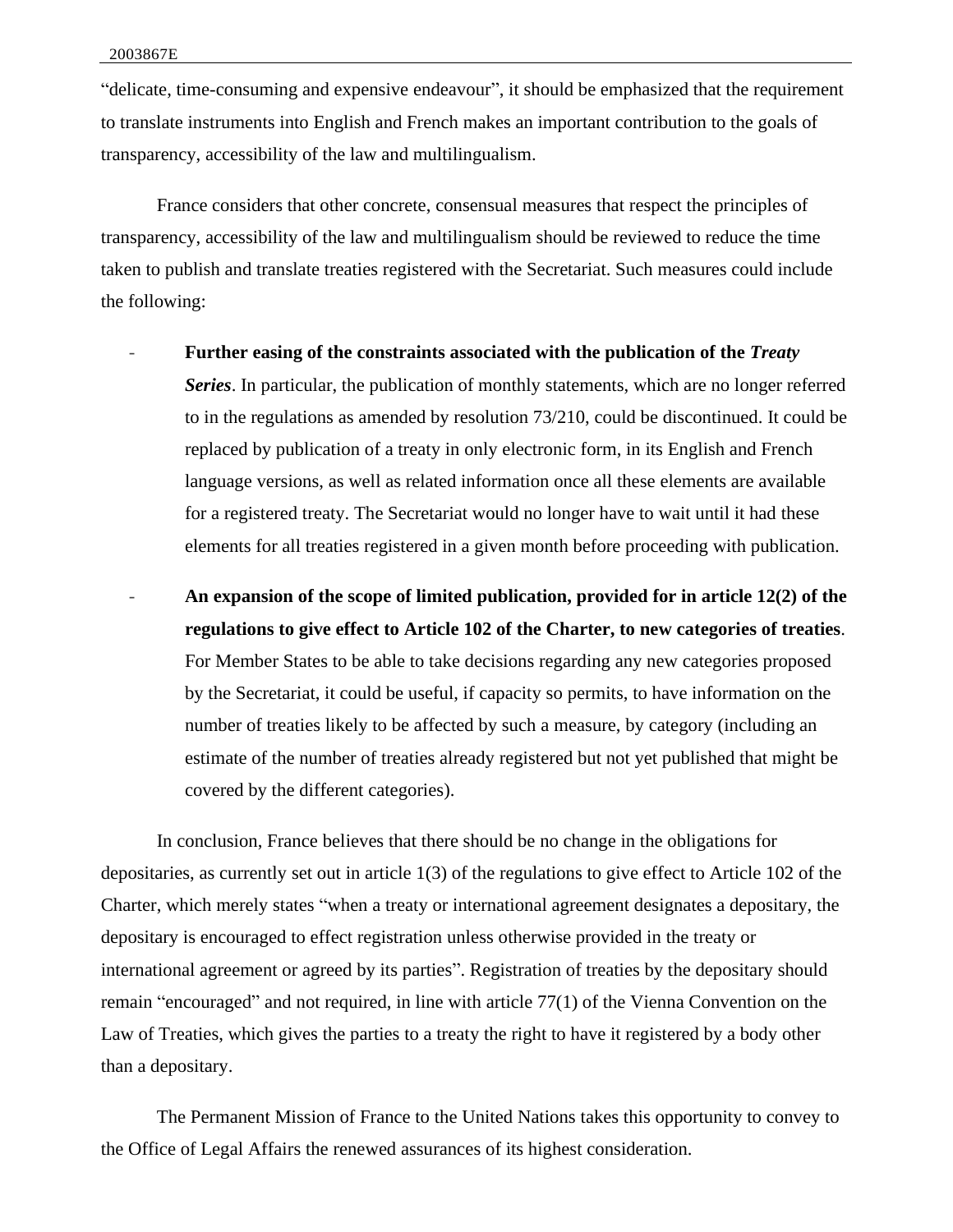"delicate, time-consuming and expensive endeavour", it should be emphasized that the requirement to translate instruments into English and French makes an important contribution to the goals of transparency, accessibility of the law and multilingualism.

France considers that other concrete, consensual measures that respect the principles of transparency, accessibility of the law and multilingualism should be reviewed to reduce the time taken to publish and translate treaties registered with the Secretariat. Such measures could include the following:

- **Further easing of the constraints associated with the publication of the** *Treaty Series*. In particular, the publication of monthly statements, which are no longer referred to in the regulations as amended by resolution 73/210, could be discontinued. It could be replaced by publication of a treaty in only electronic form, in its English and French language versions, as well as related information once all these elements are available for a registered treaty. The Secretariat would no longer have to wait until it had these elements for all treaties registered in a given month before proceeding with publication.
- **An expansion of the scope of limited publication, provided for in article 12(2) of the regulations to give effect to Article 102 of the Charter, to new categories of treaties**. For Member States to be able to take decisions regarding any new categories proposed by the Secretariat, it could be useful, if capacity so permits, to have information on the number of treaties likely to be affected by such a measure, by category (including an estimate of the number of treaties already registered but not yet published that might be covered by the different categories).

In conclusion, France believes that there should be no change in the obligations for depositaries, as currently set out in article 1(3) of the regulations to give effect to Article 102 of the Charter, which merely states "when a treaty or international agreement designates a depositary, the depositary is encouraged to effect registration unless otherwise provided in the treaty or international agreement or agreed by its parties". Registration of treaties by the depositary should remain "encouraged" and not required, in line with article 77(1) of the Vienna Convention on the Law of Treaties, which gives the parties to a treaty the right to have it registered by a body other than a depositary.

The Permanent Mission of France to the United Nations takes this opportunity to convey to the Office of Legal Affairs the renewed assurances of its highest consideration.